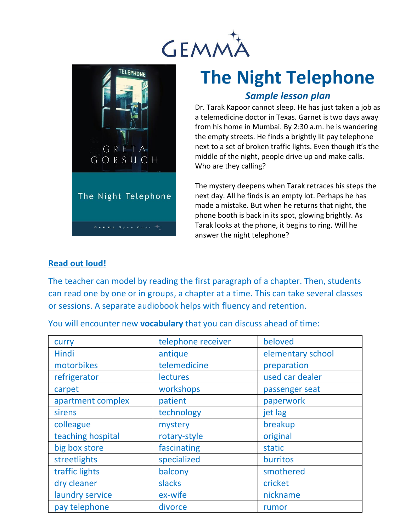



## **The Night Telephone**

## *Sample lesson plan*

Dr. Tarak Kapoor cannot sleep. He has just taken a job as a telemedicine doctor in Texas. Garnet is two days away from his home in Mumbai. By 2:30 a.m. he is wandering the empty streets. He finds a brightly lit pay telephone next to a set of broken traffic lights. Even though it's the middle of the night, people drive up and make calls. Who are they calling?

The mystery deepens when Tarak retraces his steps the next day. All he finds is an empty lot. Perhaps he has made a mistake. But when he returns that night, the phone booth is back in its spot, glowing brightly. As Tarak looks at the phone, it begins to ring. Will he answer the night telephone?

## **Read out loud!**

The teacher can model by reading the first paragraph of a chapter. Then, students can read one by one or in groups, a chapter at a time. This can take several classes or sessions. A separate audiobook helps with fluency and retention.

You will encounter new **vocabulary** that you can discuss ahead of time:

| curry             | telephone receiver | beloved           |
|-------------------|--------------------|-------------------|
| Hindi             | antique            | elementary school |
| motorbikes        | telemedicine       | preparation       |
| refrigerator      | <b>lectures</b>    | used car dealer   |
| carpet            | workshops          | passenger seat    |
| apartment complex | patient            | paperwork         |
| sirens            | technology         | jet lag           |
| colleague         | mystery            | breakup           |
| teaching hospital | rotary-style       | original          |
| big box store     | fascinating        | static            |
| streetlights      | specialized        | burritos          |
| traffic lights    | balcony            | smothered         |
| dry cleaner       | slacks             | cricket           |
| laundry service   | ex-wife            | nickname          |
| pay telephone     | divorce            | rumor             |